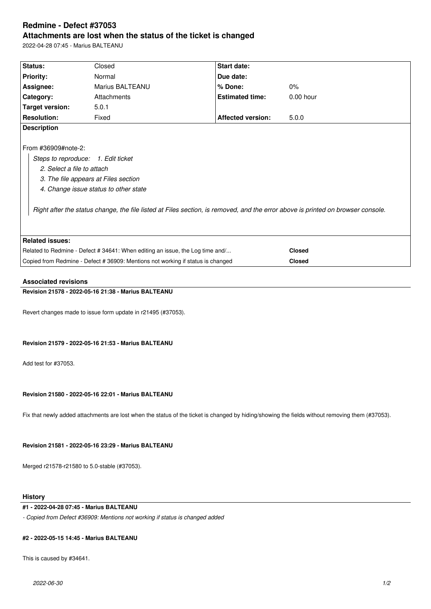# **Redmine - Defect #37053**

## **Attachments are lost when the status of the ticket is changed**

2022-04-28 07:45 - Marius BALTEANU

| Status:                                                                                                                         | Closed          | Start date:              |               |
|---------------------------------------------------------------------------------------------------------------------------------|-----------------|--------------------------|---------------|
| <b>Priority:</b>                                                                                                                | Normal          | Due date:                |               |
| Assignee:                                                                                                                       | Marius BALTEANU | % Done:                  | 0%            |
| Category:                                                                                                                       | Attachments     | <b>Estimated time:</b>   | $0.00$ hour   |
| <b>Target version:</b>                                                                                                          | 5.0.1           |                          |               |
| <b>Resolution:</b>                                                                                                              | Fixed           | <b>Affected version:</b> | 5.0.0         |
| <b>Description</b>                                                                                                              |                 |                          |               |
|                                                                                                                                 |                 |                          |               |
| From #36909#note-2:                                                                                                             |                 |                          |               |
| Steps to reproduce: 1. Edit ticket                                                                                              |                 |                          |               |
| 2. Select a file to attach                                                                                                      |                 |                          |               |
| 3. The file appears at Files section                                                                                            |                 |                          |               |
| 4. Change issue status to other state                                                                                           |                 |                          |               |
|                                                                                                                                 |                 |                          |               |
| Right after the status change, the file listed at Files section, is removed, and the error above is printed on browser console. |                 |                          |               |
|                                                                                                                                 |                 |                          |               |
|                                                                                                                                 |                 |                          |               |
| <b>Related issues:</b>                                                                                                          |                 |                          |               |
| Related to Redmine - Defect # 34641: When editing an issue, the Log time and/                                                   |                 |                          | <b>Closed</b> |
| Copied from Redmine - Defect # 36909: Mentions not working if status is changed                                                 |                 |                          | <b>Closed</b> |
|                                                                                                                                 |                 |                          |               |

### **Associated revisions**

## **Revision 21578 - 2022-05-16 21:38 - Marius BALTEANU**

Revert changes made to issue form update in r21495 (#37053).

#### **Revision 21579 - 2022-05-16 21:53 - Marius BALTEANU**

Add test for #37053.

### **Revision 21580 - 2022-05-16 22:01 - Marius BALTEANU**

Fix that newly added attachments are lost when the status of the ticket is changed by hiding/showing the fields without removing them (#37053).

#### **Revision 21581 - 2022-05-16 23:29 - Marius BALTEANU**

Merged r21578-r21580 to 5.0-stable (#37053).

#### **History**

## **#1 - 2022-04-28 07:45 - Marius BALTEANU**

*- Copied from Defect #36909: Mentions not working if status is changed added*

#### **#2 - 2022-05-15 14:45 - Marius BALTEANU**

This is caused by #34641.